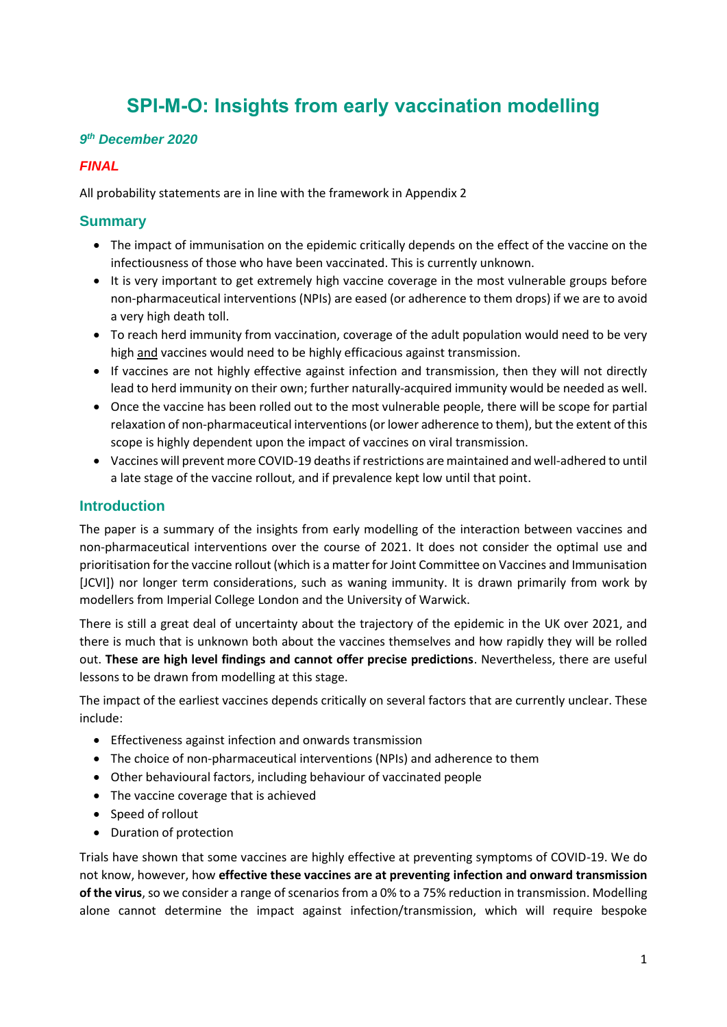# **SPI-M-O: Insights from early vaccination modelling**

#### *9 th December 2020*

### *FINAL*

All probability statements are in line with the framework in Appendix 2

### **Summary**

- The impact of immunisation on the epidemic critically depends on the effect of the vaccine on the infectiousness of those who have been vaccinated. This is currently unknown.
- It is very important to get extremely high vaccine coverage in the most vulnerable groups before non-pharmaceutical interventions (NPIs) are eased (or adherence to them drops) if we are to avoid a very high death toll.
- To reach herd immunity from vaccination, coverage of the adult population would need to be very high and vaccines would need to be highly efficacious against transmission.
- If vaccines are not highly effective against infection and transmission, then they will not directly lead to herd immunity on their own; further naturally-acquired immunity would be needed as well.
- Once the vaccine has been rolled out to the most vulnerable people, there will be scope for partial relaxation of non-pharmaceutical interventions(or lower adherence to them), but the extent of this scope is highly dependent upon the impact of vaccines on viral transmission.
- Vaccines will prevent more COVID-19 deaths if restrictions are maintained and well-adhered to until a late stage of the vaccine rollout, and if prevalence kept low until that point.

#### **Introduction**

The paper is a summary of the insights from early modelling of the interaction between vaccines and non-pharmaceutical interventions over the course of 2021. It does not consider the optimal use and prioritisation for the vaccine rollout (which is a matter for Joint Committee on Vaccines and Immunisation [JCVI]) nor longer term considerations, such as waning immunity. It is drawn primarily from work by modellers from Imperial College London and the University of Warwick.

There is still a great deal of uncertainty about the trajectory of the epidemic in the UK over 2021, and there is much that is unknown both about the vaccines themselves and how rapidly they will be rolled out. **These are high level findings and cannot offer precise predictions**. Nevertheless, there are useful lessons to be drawn from modelling at this stage.

The impact of the earliest vaccines depends critically on several factors that are currently unclear. These include:

- Effectiveness against infection and onwards transmission
- The choice of non-pharmaceutical interventions (NPIs) and adherence to them
- Other behavioural factors, including behaviour of vaccinated people
- The vaccine coverage that is achieved
- Speed of rollout
- Duration of protection

Trials have shown that some vaccines are highly effective at preventing symptoms of COVID-19. We do not know, however, how **effective these vaccines are at preventing infection and onward transmission of the virus**, so we consider a range of scenarios from a 0% to a 75% reduction in transmission. Modelling alone cannot determine the impact against infection/transmission, which will require bespoke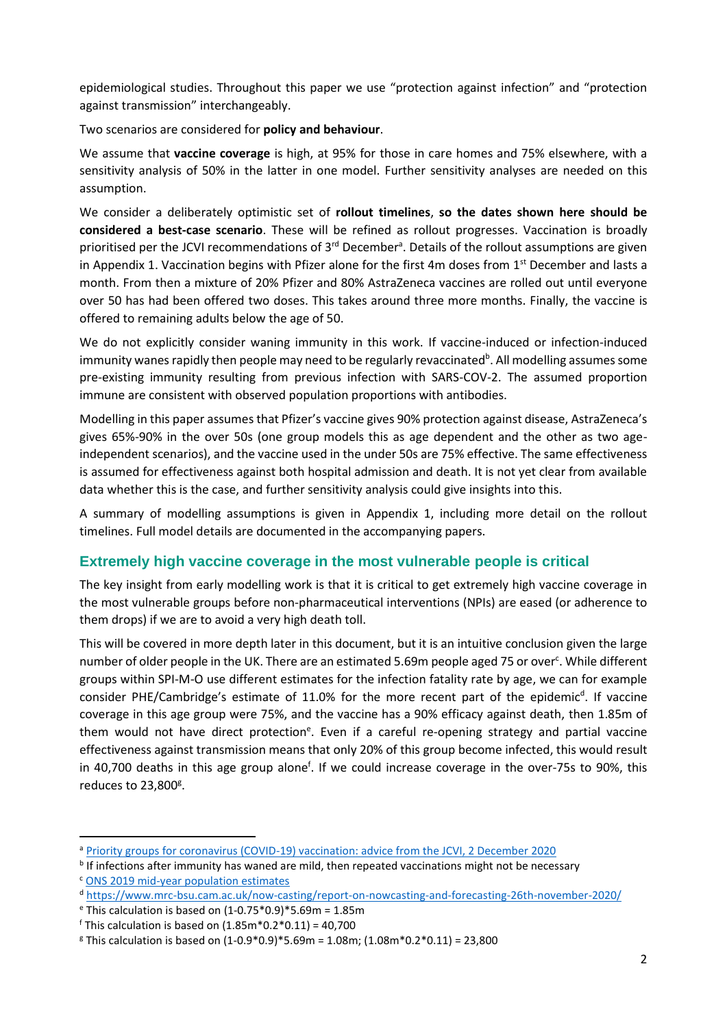epidemiological studies. Throughout this paper we use "protection against infection" and "protection against transmission" interchangeably.

Two scenarios are considered for **policy and behaviour**.

We assume that **vaccine coverage** is high, at 95% for those in care homes and 75% elsewhere, with a sensitivity analysis of 50% in the latter in one model. Further sensitivity analyses are needed on this assumption.

We consider a deliberately optimistic set of **rollout timelines**, **so the dates shown here should be considered a best-case scenario**. These will be refined as rollout progresses. Vaccination is broadly prioritised per the JCVI recommendations of 3<sup>rd</sup> December<sup>a</sup>. Details of the rollout assumptions are given in Appendix 1. Vaccination begins with Pfizer alone for the first 4m doses from  $1<sup>st</sup>$  December and lasts a month. From then a mixture of 20% Pfizer and 80% AstraZeneca vaccines are rolled out until everyone over 50 has had been offered two doses. This takes around three more months. Finally, the vaccine is offered to remaining adults below the age of 50.

We do not explicitly consider waning immunity in this work. If vaccine-induced or infection-induced immunity wanes rapidly then people may need to be regularly revaccinated<sup>b</sup>. All modelling assumes some pre-existing immunity resulting from previous infection with SARS-COV-2. The assumed proportion immune are consistent with observed population proportions with antibodies.

Modelling in this paper assumes that Pfizer's vaccine gives 90% protection against disease, AstraZeneca's gives 65%-90% in the over 50s (one group models this as age dependent and the other as two ageindependent scenarios), and the vaccine used in the under 50s are 75% effective. The same effectiveness is assumed for effectiveness against both hospital admission and death. It is not yet clear from available data whether this is the case, and further sensitivity analysis could give insights into this.

A summary of modelling assumptions is given in Appendix 1, including more detail on the rollout timelines. Full model details are documented in the accompanying papers.

### **Extremely high vaccine coverage in the most vulnerable people is critical**

The key insight from early modelling work is that it is critical to get extremely high vaccine coverage in the most vulnerable groups before non-pharmaceutical interventions (NPIs) are eased (or adherence to them drops) if we are to avoid a very high death toll.

This will be covered in more depth later in this document, but it is an intuitive conclusion given the large number of older people in the UK. There are an estimated 5.69m people aged 75 or over<sup>c</sup>. While different groups within SPI-M-O use different estimates for the infection fatality rate by age, we can for example consider PHE/Cambridge's estimate of 11.0% for the more recent part of the epidemic<sup>d</sup>. If vaccine coverage in this age group were 75%, and the vaccine has a 90% efficacy against death, then 1.85m of them would not have direct protection<sup>e</sup>. Even if a careful re-opening strategy and partial vaccine effectiveness against transmission means that only 20% of this group become infected, this would result in 40,700 deaths in this age group alone<sup>f</sup>. If we could increase coverage in the over-75s to 90%, this reduces to 23,800<sup>g</sup>.

<sup>&</sup>lt;sup>a</sup> Priority groups for coronavirus (COVID-19) vaccination: advice from the JCVI, 2 December 2020

**b** If infections after immunity has waned are mild, then repeated vaccinations might not be necessary

<sup>c</sup> ONS 2019 mid-year population estimates

<sup>d</sup> https://www.mrc-bsu.cam.ac.uk/now-casting/report-on-nowcasting-and-forecasting-26th-november-2020/

 $e$ <sup>e</sup> This calculation is based on  $(1-0.75*0.9)*5.69m = 1.85m$ 

<sup>f</sup> This calculation is based on (1.85m\*0.2\*0.11) = 40,700

 $\textdegree$  This calculation is based on (1-0.9\*0.9)\*5.69m = 1.08m; (1.08m\*0.2\*0.11) = 23,800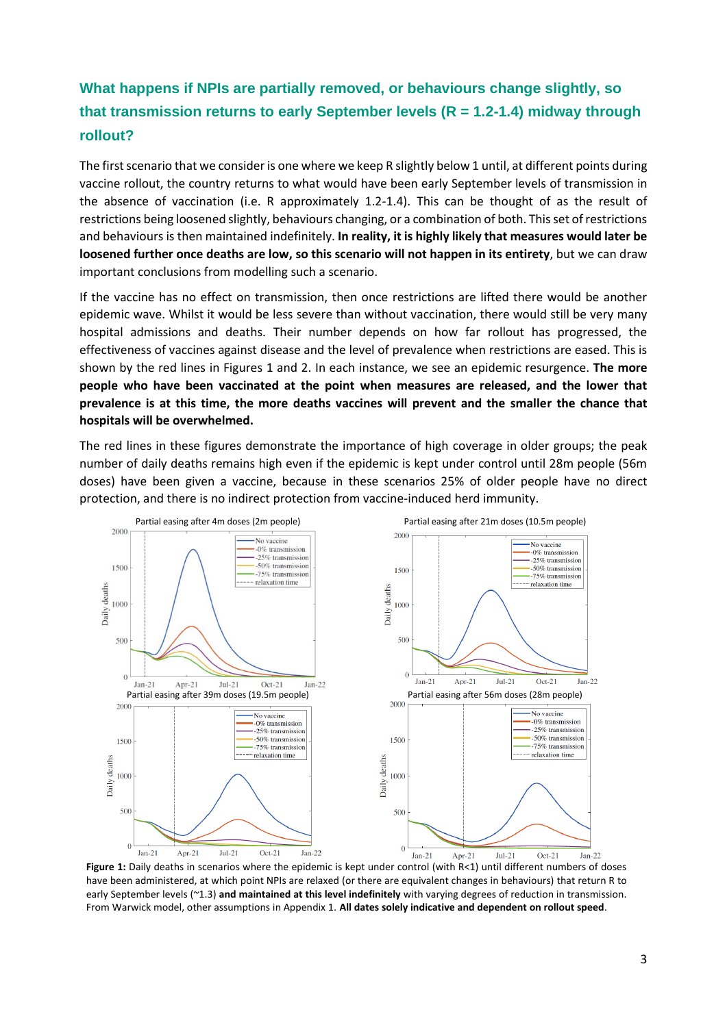# **What happens if NPIs are partially removed, or behaviours change slightly, so that transmission returns to early September levels (R = 1.2-1.4) midway through rollout?**

The first scenario that we consider is one where we keep R slightly below 1 until, at different points during vaccine rollout, the country returns to what would have been early September levels of transmission in the absence of vaccination (i.e. R approximately 1.2-1.4). This can be thought of as the result of restrictions being loosened slightly, behaviours changing, or a combination of both. This set of restrictions and behaviours is then maintained indefinitely. **In reality, it is highly likely that measures would later be loosened further once deaths are low, so this scenario will not happen in its entirety**, but we can draw important conclusions from modelling such a scenario.

If the vaccine has no effect on transmission, then once restrictions are lifted there would be another epidemic wave. Whilst it would be less severe than without vaccination, there would still be very many hospital admissions and deaths. Their number depends on how far rollout has progressed, the effectiveness of vaccines against disease and the level of prevalence when restrictions are eased. This is shown by the red lines in Figures 1 and 2. In each instance, we see an epidemic resurgence. **The more people who have been vaccinated at the point when measures are released, and the lower that prevalence is at this time, the more deaths vaccines will prevent and the smaller the chance that hospitals will be overwhelmed.**

The red lines in these figures demonstrate the importance of high coverage in older groups; the peak number of daily deaths remains high even if the epidemic is kept under control until 28m people (56m doses) have been given a vaccine, because in these scenarios 25% of older people have no direct protection, and there is no indirect protection from vaccine-induced herd immunity.



Figure 1: Daily deaths in scenarios where the epidemic is kept under control (with R<1) until different numbers of doses have been administered, at which point NPIs are relaxed (or there are equivalent changes in behaviours) that return R to early September levels (~1.3) **and maintained at this level indefinitely** with varying degrees of reduction in transmission. From Warwick model, other assumptions in Appendix 1. **All dates solely indicative and dependent on rollout speed**.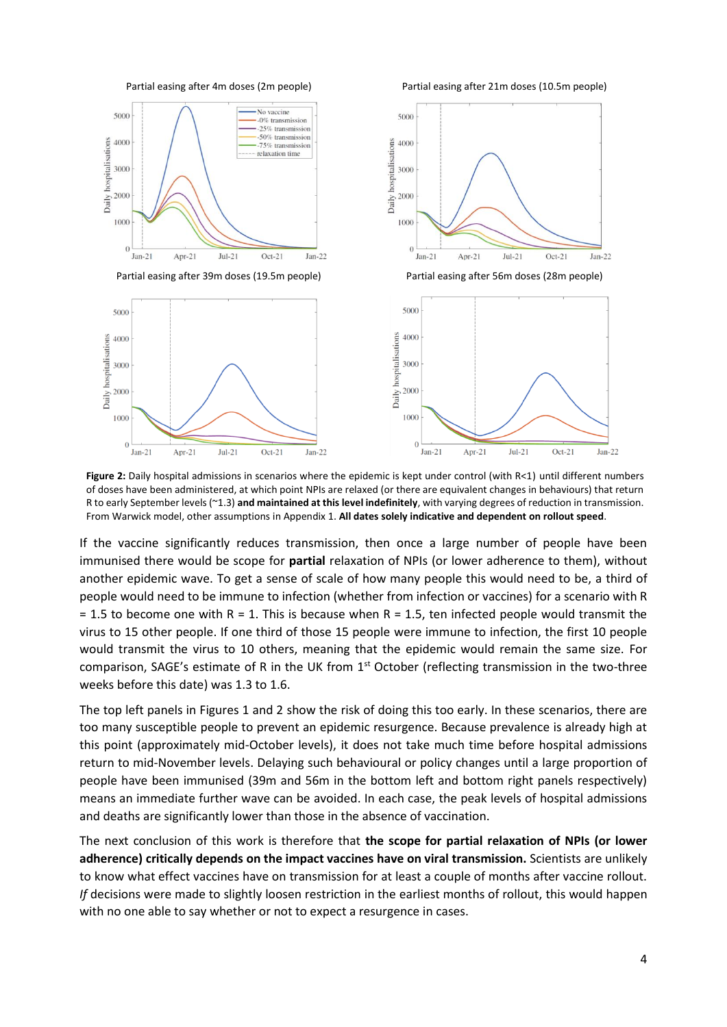

**Figure 2:** Daily hospital admissions in scenarios where the epidemic is kept under control (with R<1) until different numbers of doses have been administered, at which point NPIs are relaxed (or there are equivalent changes in behaviours) that return R to early September levels (~1.3) **and maintained at this level indefinitely**, with varying degrees of reduction in transmission. From Warwick model, other assumptions in Appendix 1. **All dates solely indicative and dependent on rollout speed**.

If the vaccine significantly reduces transmission, then once a large number of people have been immunised there would be scope for **partial** relaxation of NPIs (or lower adherence to them), without another epidemic wave. To get a sense of scale of how many people this would need to be, a third of people would need to be immune to infection (whether from infection or vaccines) for a scenario with R  $= 1.5$  to become one with R = 1. This is because when R = 1.5, ten infected people would transmit the virus to 15 other people. If one third of those 15 people were immune to infection, the first 10 people would transmit the virus to 10 others, meaning that the epidemic would remain the same size. For comparison, SAGE's estimate of R in the UK from  $1<sup>st</sup>$  October (reflecting transmission in the two-three weeks before this date) was 1.3 to 1.6.

The top left panels in Figures 1 and 2 show the risk of doing this too early. In these scenarios, there are too many susceptible people to prevent an epidemic resurgence. Because prevalence is already high at this point (approximately mid-October levels), it does not take much time before hospital admissions return to mid-November levels. Delaying such behavioural or policy changes until a large proportion of people have been immunised (39m and 56m in the bottom left and bottom right panels respectively) means an immediate further wave can be avoided. In each case, the peak levels of hospital admissions and deaths are significantly lower than those in the absence of vaccination.

The next conclusion of this work is therefore that **the scope for partial relaxation of NPIs (or lower adherence) critically depends on the impact vaccines have on viral transmission.** Scientists are unlikely to know what effect vaccines have on transmission for at least a couple of months after vaccine rollout. *If* decisions were made to slightly loosen restriction in the earliest months of rollout, this would happen with no one able to say whether or not to expect a resurgence in cases.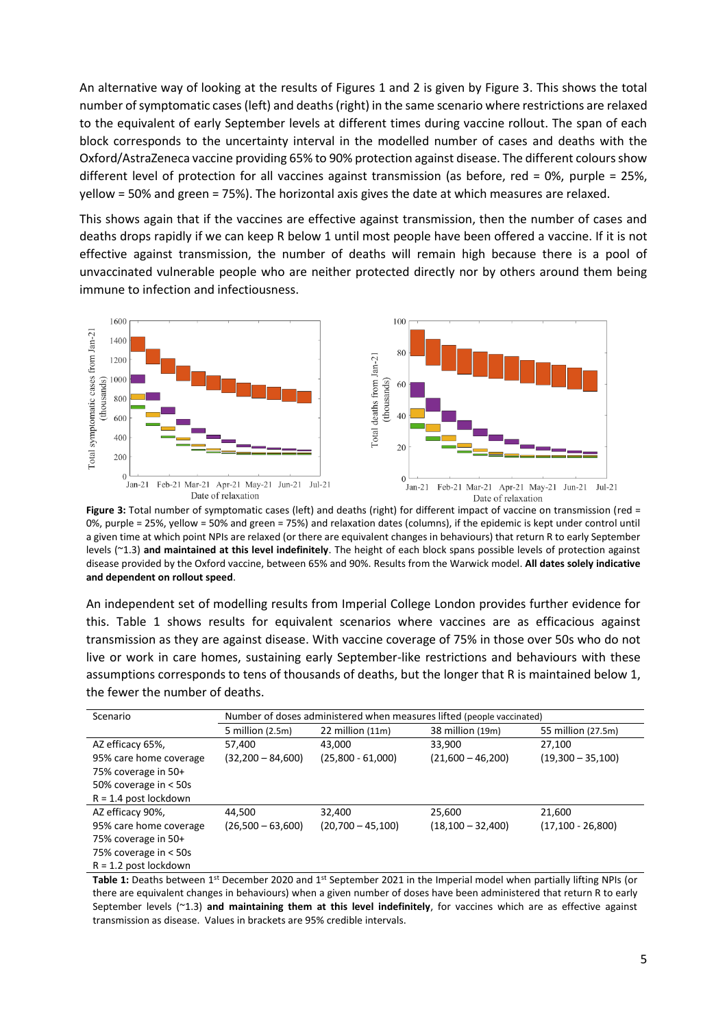An alternative way of looking at the results of Figures 1 and 2 is given by Figure 3. This shows the total number of symptomatic cases (left) and deaths (right) in the same scenario where restrictions are relaxed to the equivalent of early September levels at different times during vaccine rollout. The span of each block corresponds to the uncertainty interval in the modelled number of cases and deaths with the Oxford/AstraZeneca vaccine providing 65% to 90% protection against disease. The different colours show different level of protection for all vaccines against transmission (as before, red = 0%, purple = 25%, yellow = 50% and green = 75%). The horizontal axis gives the date at which measures are relaxed.

This shows again that if the vaccines are effective against transmission, then the number of cases and deaths drops rapidly if we can keep R below 1 until most people have been offered a vaccine. If it is not effective against transmission, the number of deaths will remain high because there is a pool of unvaccinated vulnerable people who are neither protected directly nor by others around them being immune to infection and infectiousness.



**Figure 3:** Total number of symptomatic cases (left) and deaths (right) for different impact of vaccine on transmission (red = 0%, purple = 25%, yellow = 50% and green = 75%) and relaxation dates (columns), if the epidemic is kept under control until a given time at which point NPIs are relaxed (or there are equivalent changes in behaviours) that return R to early September levels (~1.3) **and maintained at this level indefinitely**. The height of each block spans possible levels of protection against disease provided by the Oxford vaccine, between 65% and 90%. Results from the Warwick model. **All dates solely indicative and dependent on rollout speed**.

An independent set of modelling results from Imperial College London provides further evidence for this. Table 1 shows results for equivalent scenarios where vaccines are as efficacious against transmission as they are against disease. With vaccine coverage of 75% in those over 50s who do not live or work in care homes, sustaining early September-like restrictions and behaviours with these assumptions corresponds to tens of thousands of deaths, but the longer that R is maintained below 1, the fewer the number of deaths.

| Scenario                | Number of doses administered when measures lifted (people vaccinated) |                      |                       |                     |
|-------------------------|-----------------------------------------------------------------------|----------------------|-----------------------|---------------------|
|                         | 5 million (2.5m)                                                      | $22$ million $(11m)$ | 38 million (19m)      | 55 million (27.5m)  |
| AZ efficacy 65%,        | 57,400                                                                | 43.000               | 33.900                | 27.100              |
| 95% care home coverage  | $(32,200 - 84,600)$                                                   | $(25,800 - 61,000)$  | $(21,600 - 46,200)$   | $(19,300 - 35,100)$ |
| 75% coverage in 50+     |                                                                       |                      |                       |                     |
| 50% coverage in < 50s   |                                                                       |                      |                       |                     |
| $R = 1.4$ post lockdown |                                                                       |                      |                       |                     |
| AZ efficacy 90%,        | 44,500                                                                | 32,400               | 25,600                | 21,600              |
| 95% care home coverage  | $(26,500 - 63,600)$                                                   | $(20,700 - 45,100)$  | $(18, 100 - 32, 400)$ | $(17,100 - 26,800)$ |
| 75% coverage in 50+     |                                                                       |                      |                       |                     |
| 75% coverage in < 50s   |                                                                       |                      |                       |                     |
| $R = 1.2$ post lockdown |                                                                       |                      |                       |                     |

**Table 1:** Deaths between 1<sup>st</sup> December 2020 and 1<sup>st</sup> September 2021 in the Imperial model when partially lifting NPIs (or there are equivalent changes in behaviours) when a given number of doses have been administered that return R to early September levels (~1.3) **and maintaining them at this level indefinitely**, for vaccines which are as effective against transmission as disease. Values in brackets are 95% credible intervals.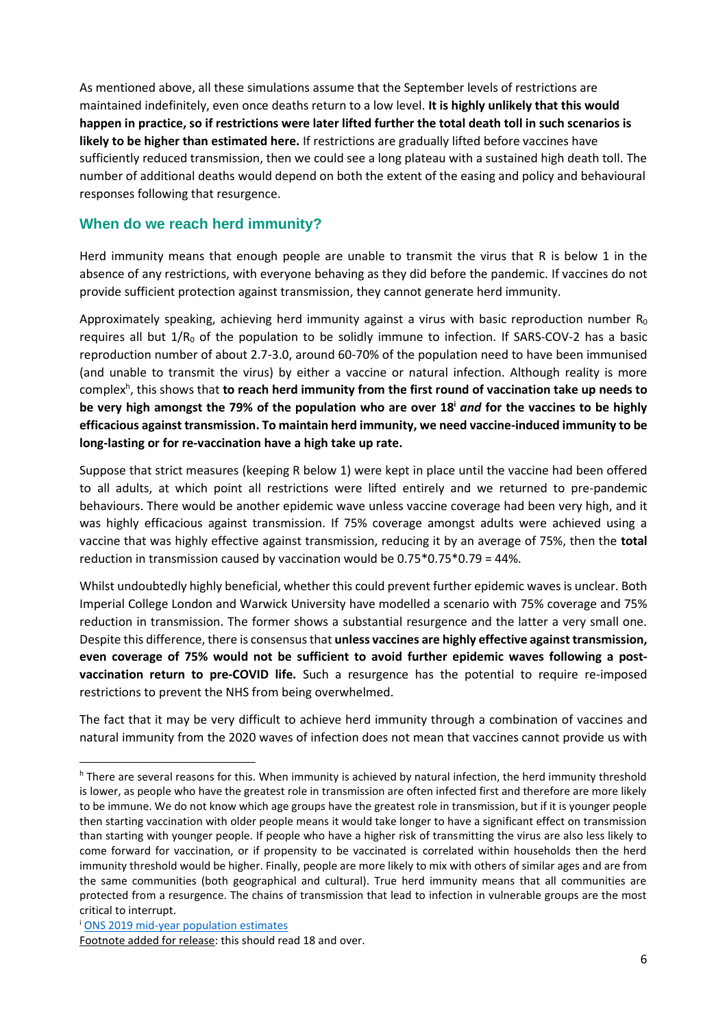As mentioned above, all these simulations assume that the September levels of restrictions are maintained indefinitely, even once deaths return to a low level. **It is highly unlikely that this would happen in practice, so if restrictions were later lifted further the total death toll in such scenarios is likely to be higher than estimated here.** If restrictions are gradually lifted before vaccines have sufficiently reduced transmission, then we could see a long plateau with a sustained high death toll. The number of additional deaths would depend on both the extent of the easing and policy and behavioural responses following that resurgence.

#### **When do we reach herd immunity?**

Herd immunity means that enough people are unable to transmit the virus that R is below 1 in the absence of any restrictions, with everyone behaving as they did before the pandemic. If vaccines do not provide sufficient protection against transmission, they cannot generate herd immunity.

Approximately speaking, achieving herd immunity against a virus with basic reproduction number  $R_0$ requires all but  $1/R_0$  of the population to be solidly immune to infection. If SARS-COV-2 has a basic reproduction number of about 2.7-3.0, around 60-70% of the population need to have been immunised (and unable to transmit the virus) by either a vaccine or natural infection. Although reality is more complex<sup>h</sup>, this shows that **to reach herd immunity from the first round of vaccination take up needs to be very high amongst the 79% of the population who are over 18<sup>i</sup>** *and* **for the vaccines to be highly efficacious against transmission. To maintain herd immunity, we need vaccine-induced immunity to be long-lasting or for re-vaccination have a high take up rate.**

Suppose that strict measures (keeping R below 1) were kept in place until the vaccine had been offered to all adults, at which point all restrictions were lifted entirely and we returned to pre-pandemic behaviours. There would be another epidemic wave unless vaccine coverage had been very high, and it was highly efficacious against transmission. If 75% coverage amongst adults were achieved using a vaccine that was highly effective against transmission, reducing it by an average of 75%, then the **total** reduction in transmission caused by vaccination would be 0.75\*0.75\*0.79 = 44%.

Whilst undoubtedly highly beneficial, whether this could prevent further epidemic waves is unclear. Both Imperial College London and Warwick University have modelled a scenario with 75% coverage and 75% reduction in transmission. The former shows a substantial resurgence and the latter a very small one. Despite this difference, there is consensus that **unless vaccines are highly effective against transmission, even coverage of 75% would not be sufficient to avoid further epidemic waves following a postvaccination return to pre-COVID life.** Such a resurgence has the potential to require re-imposed restrictions to prevent the NHS from being overwhelmed.

The fact that it may be very difficult to achieve herd immunity through a combination of vaccines and natural immunity from the 2020 waves of infection does not mean that vaccines cannot provide us with

h There are several reasons for this. When immunity is achieved by natural infection, the herd immunity threshold is lower, as people who have the greatest role in transmission are often infected first and therefore are more likely to be immune. We do not know which age groups have the greatest role in transmission, but if it is younger people then starting vaccination with older people means it would take longer to have a significant effect on transmission than starting with younger people. If people who have a higher risk of transmitting the virus are also less likely to come forward for vaccination, or if propensity to be vaccinated is correlated within households then the herd immunity threshold would be higher. Finally, people are more likely to mix with others of similar ages and are from the same communities (both geographical and cultural). True herd immunity means that all communities are protected from a resurgence. The chains of transmission that lead to infection in vulnerable groups are the most critical to interrupt.

<sup>i</sup> ONS 2019 mid-year population estimates

Footnote added for release: this should read 18 and over.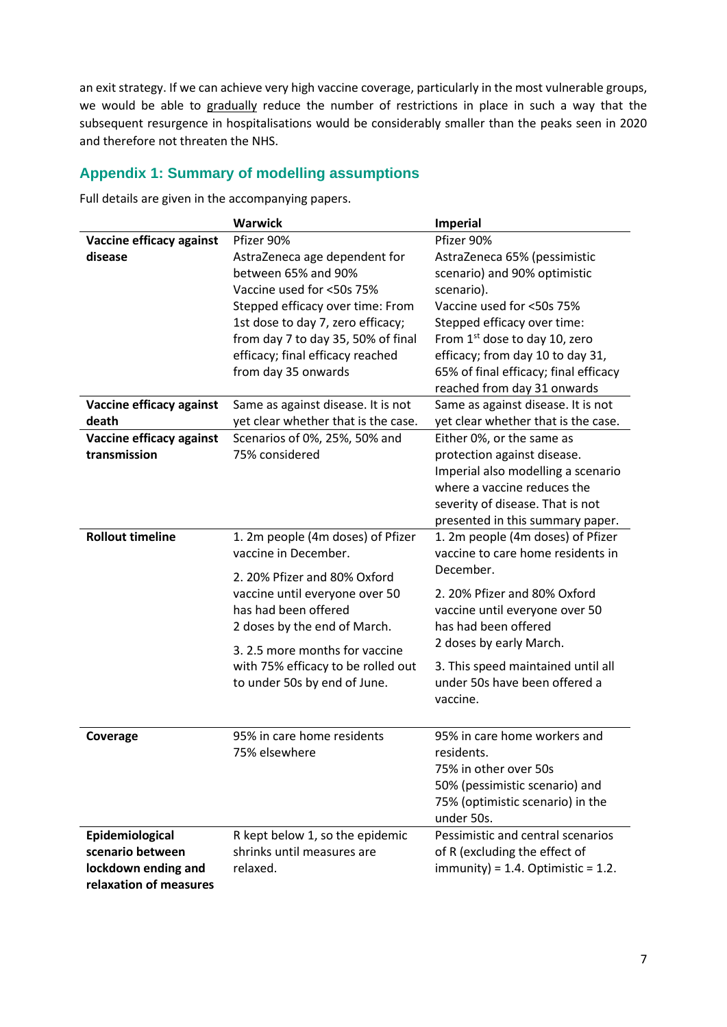an exit strategy. If we can achieve very high vaccine coverage, particularly in the most vulnerable groups, we would be able to gradually reduce the number of restrictions in place in such a way that the subsequent resurgence in hospitalisations would be considerably smaller than the peaks seen in 2020 and therefore not threaten the NHS.

## **Appendix 1: Summary of modelling assumptions**

Full details are given in the accompanying papers.

|                          | <b>Warwick</b>                      | Imperial                                       |  |
|--------------------------|-------------------------------------|------------------------------------------------|--|
| Vaccine efficacy against | Pfizer 90%                          | Pfizer 90%                                     |  |
| disease                  | AstraZeneca age dependent for       | AstraZeneca 65% (pessimistic                   |  |
|                          | between 65% and 90%                 | scenario) and 90% optimistic                   |  |
|                          | Vaccine used for <50s 75%           | scenario).                                     |  |
|                          | Stepped efficacy over time: From    | Vaccine used for <50s 75%                      |  |
|                          | 1st dose to day 7, zero efficacy;   | Stepped efficacy over time:                    |  |
|                          | from day 7 to day 35, 50% of final  | From 1 <sup>st</sup> dose to day 10, zero      |  |
|                          | efficacy; final efficacy reached    | efficacy; from day 10 to day 31,               |  |
|                          | from day 35 onwards                 | 65% of final efficacy; final efficacy          |  |
|                          |                                     | reached from day 31 onwards                    |  |
| Vaccine efficacy against | Same as against disease. It is not  | Same as against disease. It is not             |  |
| death                    | yet clear whether that is the case. | yet clear whether that is the case.            |  |
| Vaccine efficacy against | Scenarios of 0%, 25%, 50% and       | Either 0%, or the same as                      |  |
| transmission             | 75% considered                      | protection against disease.                    |  |
|                          |                                     | Imperial also modelling a scenario             |  |
|                          |                                     | where a vaccine reduces the                    |  |
|                          |                                     | severity of disease. That is not               |  |
|                          |                                     | presented in this summary paper.               |  |
| <b>Rollout timeline</b>  | 1. 2m people (4m doses) of Pfizer   | 1. 2m people (4m doses) of Pfizer              |  |
|                          | vaccine in December.                | vaccine to care home residents in<br>December. |  |
|                          | 2. 20% Pfizer and 80% Oxford        |                                                |  |
|                          | vaccine until everyone over 50      | 2. 20% Pfizer and 80% Oxford                   |  |
|                          | has had been offered                | vaccine until everyone over 50                 |  |
|                          | 2 doses by the end of March.        | has had been offered                           |  |
|                          |                                     | 2 doses by early March.                        |  |
|                          | 3.2.5 more months for vaccine       |                                                |  |
|                          | with 75% efficacy to be rolled out  | 3. This speed maintained until all             |  |
|                          | to under 50s by end of June.        | under 50s have been offered a                  |  |
|                          |                                     | vaccine.                                       |  |
|                          |                                     |                                                |  |
| Coverage                 | 95% in care home residents          | 95% in care home workers and                   |  |
|                          | 75% elsewhere                       | residents.                                     |  |
|                          |                                     | 75% in other over 50s                          |  |
|                          |                                     | 50% (pessimistic scenario) and                 |  |
|                          |                                     | 75% (optimistic scenario) in the               |  |
|                          |                                     | under 50s.                                     |  |
| Epidemiological          | R kept below 1, so the epidemic     | Pessimistic and central scenarios              |  |
| scenario between         | shrinks until measures are          | of R (excluding the effect of                  |  |
| lockdown ending and      | relaxed.                            | $immunity$ ) = 1.4. Optimistic = 1.2.          |  |
| relaxation of measures   |                                     |                                                |  |